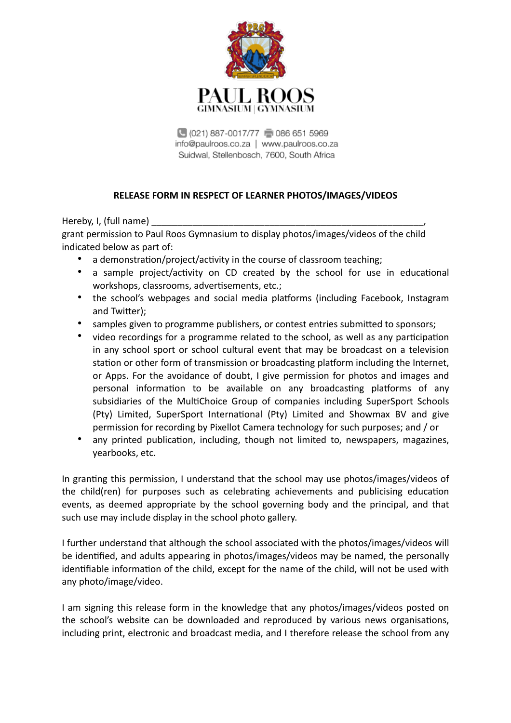

■ (021) 887-0017/77 ■ 086 651 5969 info@paulroos.co.za | www.paulroos.co.za Suidwal, Stellenbosch, 7600, South Africa

## **RELEASE FORM IN RESPECT OF LEARNER PHOTOS/IMAGES/VIDEOS**

Hereby, I, (full name)

grant permission to Paul Roos Gymnasium to display photos/images/videos of the child indicated below as part of:

- a demonstration/project/activity in the course of classroom teaching;
- a sample project/activity on CD created by the school for use in educational workshops, classrooms, advertisements, etc.;
- the school's webpages and social media platforms (including Facebook, Instagram and Twitter);
- samples given to programme publishers, or contest entries submitted to sponsors;
- video recordings for a programme related to the school, as well as any participation in any school sport or school cultural event that may be broadcast on a television station or other form of transmission or broadcasting platform including the Internet, or Apps. For the avoidance of doubt, I give permission for photos and images and personal information to be available on any broadcasting platforms of any subsidiaries of the MultiChoice Group of companies including SuperSport Schools (Pty) Limited, SuperSport International (Pty) Limited and Showmax BV and give permission for recording by Pixellot Camera technology for such purposes; and / or
- any printed publication, including, though not limited to, newspapers, magazines, yearbooks, etc.

In granting this permission, I understand that the school may use photos/images/videos of the child(ren) for purposes such as celebrating achievements and publicising education events, as deemed appropriate by the school governing body and the principal, and that such use may include display in the school photo gallery.

I further understand that although the school associated with the photos/images/videos will be identified, and adults appearing in photos/images/videos may be named, the personally identifiable information of the child, except for the name of the child, will not be used with any photo/image/video.

I am signing this release form in the knowledge that any photos/images/videos posted on the school's website can be downloaded and reproduced by various news organisations, including print, electronic and broadcast media, and I therefore release the school from any